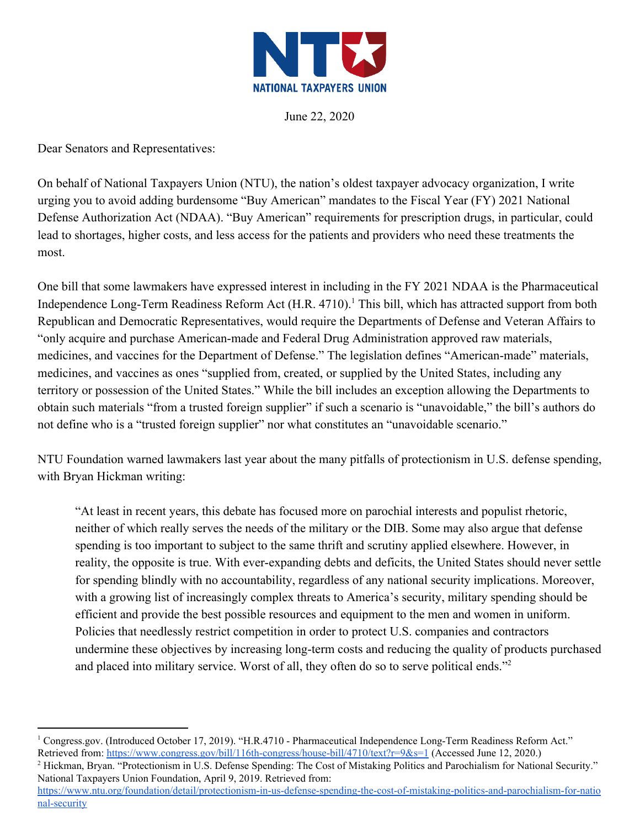

June 22, 2020

Dear Senators and Representatives:

On behalf of National Taxpayers Union (NTU), the nation's oldest taxpayer advocacy organization, I write urging you to avoid adding burdensome "Buy American" mandates to the Fiscal Year (FY) 2021 National Defense Authorization Act (NDAA). "Buy American" requirements for prescription drugs, in particular, could lead to shortages, higher costs, and less access for the patients and providers who need these treatments the most.

One bill that some lawmakers have expressed interest in including in the FY 2021 NDAA is the Pharmaceutical Independence Long-Term Readiness Reform Act (H.R. 4710).<sup>1</sup> This bill, which has attracted support from both Republican and Democratic Representatives, would require the Departments of Defense and Veteran Affairs to "only acquire and purchase American-made and Federal Drug Administration approved raw materials, medicines, and vaccines for the Department of Defense." The legislation defines "American-made" materials, medicines, and vaccines as ones "supplied from, created, or supplied by the United States, including any territory or possession of the United States." While the bill includes an exception allowing the Departments to obtain such materials "from a trusted foreign supplier" if such a scenario is "unavoidable," the bill's authors do not define who is a "trusted foreign supplier" nor what constitutes an "unavoidable scenario."

NTU Foundation warned lawmakers last year about the many pitfalls of protectionism in U.S. defense spending, with Bryan Hickman writing:

"At least in recent years, this debate has focused more on parochial interests and populist rhetoric, neither of which really serves the needs of the military or the DIB. Some may also argue that defense spending is too important to subject to the same thrift and scrutiny applied elsewhere. However, in reality, the opposite is true. With ever-expanding debts and deficits, the United States should never settle for spending blindly with no accountability, regardless of any national security implications. Moreover, with a growing list of increasingly complex threats to America's security, military spending should be efficient and provide the best possible resources and equipment to the men and women in uniform. Policies that needlessly restrict competition in order to protect U.S. companies and contractors undermine these objectives by increasing long-term costs and reducing the quality of products purchased and placed into military service. Worst of all, they often do so to serve political ends."<sup>2</sup>

<sup>2</sup> Hickman, Bryan. "Protectionism in U.S. Defense Spending: The Cost of Mistaking Politics and Parochialism for National Security." National Taxpayers Union Foundation, April 9, 2019. Retrieved from:

<sup>1</sup> Congress.gov. (Introduced October 17, 2019). "H.R.4710 - Pharmaceutical Independence Long-Term Readiness Reform Act." Retrieved from: <https://www.congress.gov/bill/116th-congress/house-bill/4710/text?r=9&s=1> (Accessed June 12, 2020.)

[https://www.ntu.org/foundation/detail/protectionism-in-us-defense-spending-the-cost-of-mistaking-politics-and-parochialism-for-natio](https://www.ntu.org/foundation/detail/protectionism-in-us-defense-spending-the-cost-of-mistaking-politics-and-parochialism-for-national-security) [nal-security](https://www.ntu.org/foundation/detail/protectionism-in-us-defense-spending-the-cost-of-mistaking-politics-and-parochialism-for-national-security)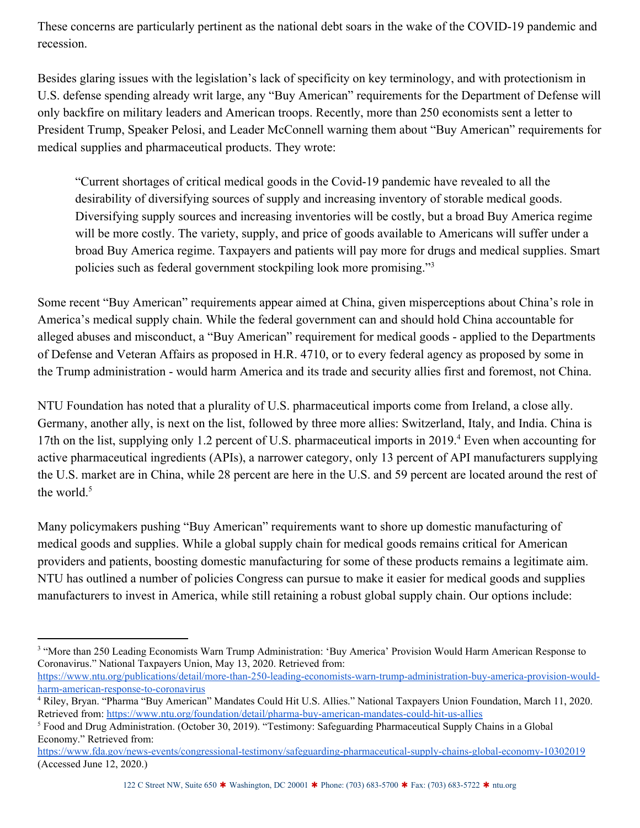These concerns are particularly pertinent as the national debt soars in the wake of the COVID-19 pandemic and recession.

Besides glaring issues with the legislation's lack of specificity on key terminology, and with protectionism in U.S. defense spending already writ large, any "Buy American" requirements for the Department of Defense will only backfire on military leaders and American troops. Recently, more than 250 economists sent a letter to President Trump, Speaker Pelosi, and Leader McConnell warning them about "Buy American" requirements for medical supplies and pharmaceutical products. They wrote:

"Current shortages of critical medical goods in the Covid-19 pandemic have revealed to all the desirability of diversifying sources of supply and increasing inventory of storable medical goods. Diversifying supply sources and increasing inventories will be costly, but a broad Buy America regime will be more costly. The variety, supply, and price of goods available to Americans will suffer under a broad Buy America regime. Taxpayers and patients will pay more for drugs and medical supplies. Smart policies such as federal government stockpiling look more promising."<sup>3</sup>

Some recent "Buy American" requirements appear aimed at China, given misperceptions about China's role in America's medical supply chain. While the federal government can and should hold China accountable for alleged abuses and misconduct, a "Buy American" requirement for medical goods - applied to the Departments of Defense and Veteran Affairs as proposed in H.R. 4710, or to every federal agency as proposed by some in the Trump administration - would harm America and its trade and security allies first and foremost, not China.

NTU Foundation has noted that a plurality of U.S. pharmaceutical imports come from Ireland, a close ally. Germany, another ally, is next on the list, followed by three more allies: Switzerland, Italy, and India. China is 17th on the list, supplying only 1.2 percent of U.S. pharmaceutical imports in 2019.<sup>4</sup> Even when accounting for active pharmaceutical ingredients (APIs), a narrower category, only 13 percent of API manufacturers supplying the U.S. market are in China, while 28 percent are here in the U.S. and 59 percent are located around the rest of the world.<sup>5</sup>

Many policymakers pushing "Buy American" requirements want to shore up domestic manufacturing of medical goods and supplies. While a global supply chain for medical goods remains critical for American providers and patients, boosting domestic manufacturing for some of these products remains a legitimate aim. NTU has outlined a number of policies Congress can pursue to make it easier for medical goods and supplies manufacturers to invest in America, while still retaining a robust global supply chain. Our options include:

[https://www.ntu.org/publications/detail/more-than-250-leading-economists-warn-trump-administration-buy-america-provision-would](https://www.ntu.org/publications/detail/more-than-250-leading-economists-warn-trump-administration-buy-america-provision-would-harm-american-response-to-coronavirus)[harm-american-response-to-coronavirus](https://www.ntu.org/publications/detail/more-than-250-leading-economists-warn-trump-administration-buy-america-provision-would-harm-american-response-to-coronavirus)

<sup>&</sup>lt;sup>3</sup> "More than 250 Leading Economists Warn Trump Administration: 'Buy America' Provision Would Harm American Response to Coronavirus." National Taxpayers Union, May 13, 2020. Retrieved from:

<sup>4</sup> Riley, Bryan. "Pharma "Buy American" Mandates Could Hit U.S. Allies." National Taxpayers Union Foundation, March 11, 2020. Retrieved from: <https://www.ntu.org/foundation/detail/pharma-buy-american-mandates-could-hit-us-allies>

<sup>5</sup> Food and Drug Administration. (October 30, 2019). "Testimony: Safeguarding Pharmaceutical Supply Chains in a Global Economy." Retrieved from:

<https://www.fda.gov/news-events/congressional-testimony/safeguarding-pharmaceutical-supply-chains-global-economy-10302019> (Accessed June 12, 2020.)